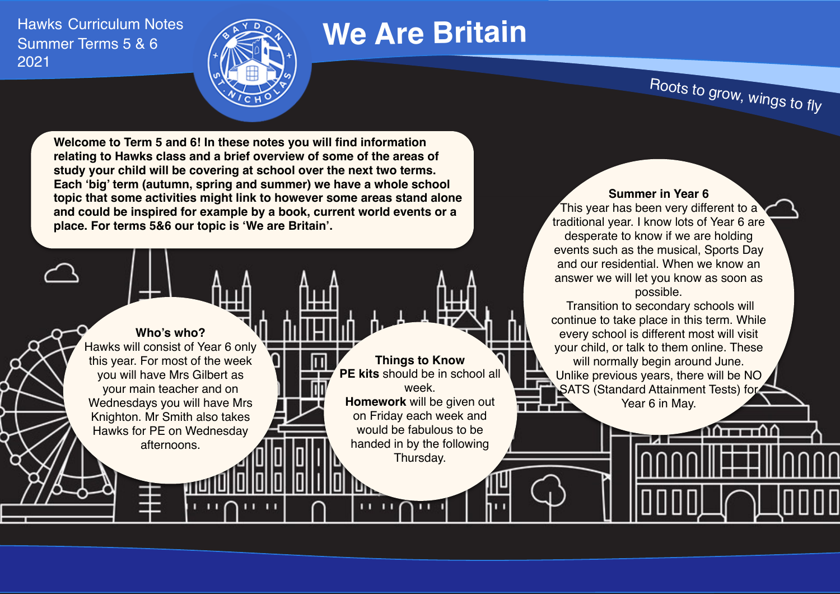Hawks Curriculum Notes Summer Terms 5 & 6 2021



# **We Are Britain**

**Things to Know PE kits** should be in school all week. **Homework** will be given out on Friday each week and would be fabulous to be handed in by the following Thursday.

Roots to grow, wings to fly

**Welcome to Term 5 and 6! In these notes you will find information relating to Hawks class and a brief overview of some of the areas of study your child will be covering at school over the next two terms. Each 'big' term (autumn, spring and summer) we have a whole school topic that some activities might link to however some areas stand alone and could be inspired for example by a book, current world events or a place. For terms 5&6 our topic is 'We are Britain'.**

**Who's who?**  Hawks will consist of Year 6 only this year. For most of the week you will have Mrs Gilbert as your main teacher and on Wednesdays you will have Mrs Knighton. Mr Smith also takes Hawks for PE on Wednesday afternoons.

## **Summer in Year 6**

This year has been very different to a traditional year. I know lots of Year 6 are desperate to know if we are holding events such as the musical, Sports Day and our residential. When we know an answer we will let you know as soon as possible.

 Transition to secondary schools will continue to take place in this term. While every school is different most will visit your child, or talk to them online. These will normally begin around June. Unlike previous years, there will be NO SATS (Standard Attainment Tests) for Year 6 in May. ŦТ